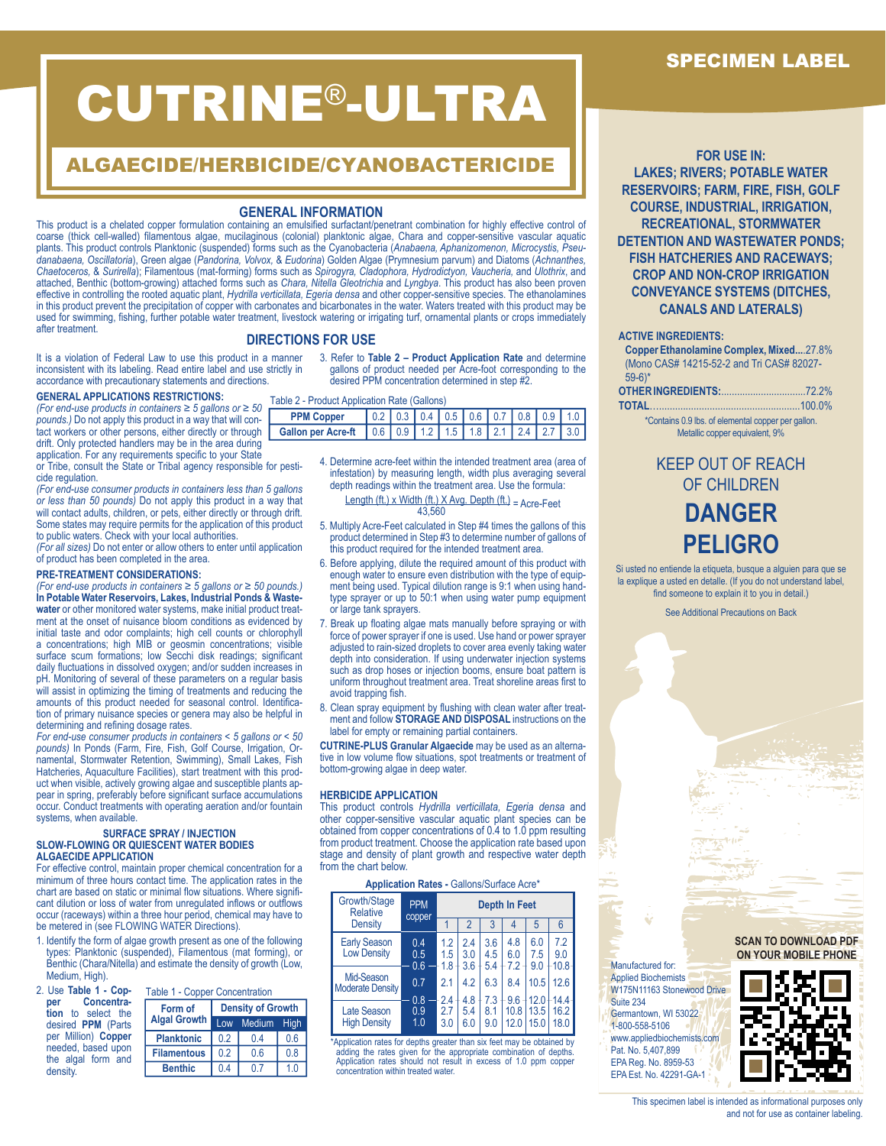# CUTRINE®-ULTRA

# ALGAECIDE/HERBICIDE/CYANOBACTERICIDE

# **GENERAL INFORMATION**

This product is a chelated copper formulation containing an emulsified surfactant/penetrant combination for highly effective control of coarse (thick cell-walled) filamentous algae, mucilaginous (colonial) planktonic algae, Chara and copper-sensitive vascular aquatic plants. This product controls Planktonic (suspended) forms such as the Cyanobacteria (Anabaena, Aphanizomenon, Microcystis, Pseu*danabaena, Oscillatoria*), Green algae (*Pandorina, Volvox,* & *Eudorina*) Golden Algae (Prymnesium parvum) and Diatoms (*Achnanthes, Chaetoceros,* & *Surirella*); Filamentous (mat-forming) forms such as *Spirogyra, Cladophora, Hydrodictyon, Vaucheria,* and *Ulothrix*, and attached, Benthic (bottom-growing) attached forms such as *Chara, Nitella Gleotrichia* and *Lyngbya*. This product has also been proven effective in controlling the rooted aquatic plant, *Hydrilla verticillata, Egeria densa* and other copper-sensitive species. The ethanolamines in this product prevent the precipitation of copper with carbonates and bicarbonates in the water. Waters treated with this product may be used for swimming, fishing, further potable water treatment, livestock watering or irrigating turf, ornamental plants or crops immediately after treatment.

# **DIRECTIONS FOR USE**

It is a violation of Federal Law to use this product in a manner inconsistent with its labeling. Read entire label and use strictly in accordance with precautionary statements and directions.

# **GENERAL APPLICATIONS RESTRICTIONS:**

*(For end-use products in containers ≥ 5 gallons or ≥ 50 pounds.)* Do not apply this product in a way that will contact workers or other persons, either directly or through drift. Only protected handlers may be in the area during application. For any requirements specific to your State

or Tribe, consult the State or Tribal agency responsible for pesticide regulation.

*(For end-use consumer products in containers less than 5 gallons or less than 50 pounds)* Do not apply this product in a way that will contact adults, children, or pets, either directly or through drift. Some states may require permits for the application of this product to public waters. Check with your local authorities.

*(For all sizes)* Do not enter or allow others to enter until application of product has been completed in the area.

#### **PRE-TREATMENT CONSIDERATIONS:**

*(For end-use products in containers ≥ 5 gallons or ≥ 50 pounds.)*  **In Potable Water Reservoirs, Lakes, Industrial Ponds & Wastewater** or other monitored water systems, make initial product treatment at the onset of nuisance bloom conditions as evidenced by initial taste and odor complaints; high cell counts or chlorophyll a concentrations; high MIB or geosmin concentrations; visible surface scum formations; low Secchi disk readings; significant daily fluctuations in dissolved oxygen; and/or sudden increases in pH. Monitoring of several of these parameters on a regular basis will assist in optimizing the timing of treatments and reducing the amounts of this product needed for seasonal control. Identification of primary nuisance species or genera may also be helpful in determining and refining dosage rates.

*For end-use consumer products in containers < 5 gallons or < 50 pounds)* In Ponds (Farm, Fire, Fish, Golf Course, Irrigation, Ornamental, Stormwater Retention, Swimming), Small Lakes, Fish Hatcheries, Aquaculture Facilities), start treatment with this product when visible, actively growing algae and susceptible plants appear in spring, preferably before significant surface accumulations occur. Conduct treatments with operating aeration and/or fountain systems, when available.

#### **SURFACE SPRAY / INJECTION SLOW-FLOWING OR QUIESCENT WATER BODIES ALGAECIDE APPLICATION**

For effective control, maintain proper chemical concentration for a minimum of three hours contact time. The application rates in the chart are based on static or minimal flow situations. Where significant dilution or loss of water from unregulated inflows or outflows occur (raceways) within a three hour period, chemical may have to be metered in (see FLOWING WATER Directions).

- 1. Identify the form of algae growth present as one of the following types: Planktonic (suspended), Filamentous (mat forming), or Benthic (Chara/Nitella) and estimate the density of growth (Low, Medium, High).
- 2. Use **Table 1 Cop-**Table 1 - Copper Concentration

| Concentra-<br>per<br>tion to select the  | Form of             | <b>Density of Growth</b> |                 |     |  |  |  |  |
|------------------------------------------|---------------------|--------------------------|-----------------|-----|--|--|--|--|
| desired <b>PPM</b> (Parts                | <b>Algal Growth</b> |                          | Low Medium High |     |  |  |  |  |
| per Million) Copper                      | <b>Planktonic</b>   | 02                       | 04              | 0.6 |  |  |  |  |
| needed, based upon<br>the algal form and | <b>Filamentous</b>  | 02                       | 0.6             | 0.8 |  |  |  |  |
| density.                                 | <b>Benthic</b>      | 04                       | 0.7             | 1.0 |  |  |  |  |

3. Refer to **Table 2 – Product Application Rate** and determine gallons of product needed per Acre-foot corresponding to the desired PPM concentration determined in step #2.

Table 2 - Product Application Rate (Gallons)

| <b>PPM Copper</b>                                                        |  |  |  |  |  |  | $0.2$ 0.3 0.4 0.5 0.6 0.7 0.8 0.9 1.0 |  |
|--------------------------------------------------------------------------|--|--|--|--|--|--|---------------------------------------|--|
| Gallon per Acre-ft   0.6   0.9   1.2   1.5   1.8   2.1   2.4   2.7   3.0 |  |  |  |  |  |  |                                       |  |
|                                                                          |  |  |  |  |  |  |                                       |  |

4. Determine acre-feet within the intended treatment area (area of infestation) by measuring length, width plus averaging several depth readings within the treatment area. Use the formula:

Length (ft.) x Width (ft.) X Avg. Depth (ft.) = Acre-Feet  $43,560$ 

- 5. Multiply Acre-Feet calculated in Step #4 times the gallons of this product determined in Step #3 to determine number of gallons of this product required for the intended treatment area.
- 6. Before applying, dilute the required amount of this product with enough water to ensure even distribution with the type of equipment being used. Typical dilution range is 9:1 when using handtype sprayer or up to 50:1 when using water pump equipment or large tank sprayers.
- 7. Break up floating algae mats manually before spraying or with force of power sprayer if one is used. Use hand or power sprayer adjusted to rain-sized droplets to cover area evenly taking water depth into consideration. If using underwater injection systems such as drop hoses or injection booms, ensure boat pattern is uniform throughout treatment area. Treat shoreline areas first to avoid trapping fish.
- 8. Clean spray equipment by flushing with clean water after treatment and follow **STORAGE AND DISPOSAL** instructions on the label for empty or remaining partial containers.

**CUTRINE-PLUS Granular Algaecide** may be used as an alternative in low volume flow situations, spot treatments or treatment of bottom-growing algae in deep water.

#### **HERBICIDE APPLICATION**

This product controls *Hydrilla verticillata, Egeria densa* and other copper-sensitive vascular aquatic plant species can be obtained from copper concentrations of 0.4 to 1.0 ppm resulting from product treatment. Choose the application rate based upon stage and density of plant growth and respective water depth from the chart below.

**Application Rates -** Gallons/Surface Acre\*

| Growth/Stage<br><b>Relative</b>           | <b>PPM</b><br>copper | <b>Depth In Feet</b> |                   |                   |                   |                   |                    |  |
|-------------------------------------------|----------------------|----------------------|-------------------|-------------------|-------------------|-------------------|--------------------|--|
| <b>Density</b>                            |                      |                      | $\overline{2}$    | 3                 | 4                 | 5                 | 6                  |  |
| <b>Early Season</b><br><b>Low Density</b> | 0.4<br>0.5<br>0.6    | 1.2<br>1.5<br>1.8    | 2.4<br>3.0<br>3.6 | 3.6<br>4.5<br>5.4 | 4.8<br>6.0<br>7.2 | 6.0<br>7.5<br>9.0 | 7.2<br>9.0<br>10.8 |  |
| Mid-Season<br><b>Moderate Density</b>     | 0.7                  | 2.1                  | 4.2               | 6.3               | 8.4<br>9.6        | 10.5<br>12.0      | 12.6<br>$14.4 -$   |  |
| <b>Late Season</b><br><b>High Density</b> | 0.8<br>0.9<br>1.0    | 2.4<br>2.7<br>3.0    | 4.8<br>5.4<br>6.0 | 7.3<br>8.1<br>9.0 | 10.8<br>12.0      | 13.5<br>15.0      | 16.2<br>18.0       |  |

\*Application rates for depths greater than six feet may be obtained by adding the rates given for the appropriate combination of depths. Application rates should not result in excess of 1.0 ppm copper concentration within treated water.

**FOR USE IN: LAKES; RIVERS; POTABLE WATER RESERVOIRS; FARM, FIRE, FISH, GOLF COURSE, INDUSTRIAL, IRRIGATION, RECREATIONAL, STORMWATER DETENTION AND WASTEWATER PONDS; FISH HATCHERIES AND RACEWAYS; CROP AND NON-CROP IRRIGATION CONVEYANCE SYSTEMS (DITCHES, CANALS AND LATERALS)**

#### **ACTIVE INGREDIENTS:**

**Copper Ethanolamine Complex, Mixed...**.27.8% (Mono CAS# 14215-52-2 and Tri CAS# 82027- 59-6)\*

\*Contains 0.9 lbs. of elemental copper per gallon. Metallic copper equivalent, 9%

# KEEP OUT OF REACH OF CHILDREN **DANGER PELIGRO**

Si usted no entiende la etiqueta, busque a alguien para que se la explique a usted en detalle. (If you do not understand label, find someone to explain it to you in detail.)

See Additional Precautions on Back

**SCAN TO DOWNLOAD PDF ON YOUR MOBILE PHONE**



# SPECIMEN LABEL

This specimen label is intended as informational purposes only and not for use as container labeling.

Manufactured for: Applied Biochemists W175N11163 Stonewood Drive

Suite 234 Germantown, WI 53022 1-800-558-5106 www.appliedbiochemists.com Pat. No. 5,407,899 EPA Reg. No. 8959-53 EPA Est. No. 42291-GA-1